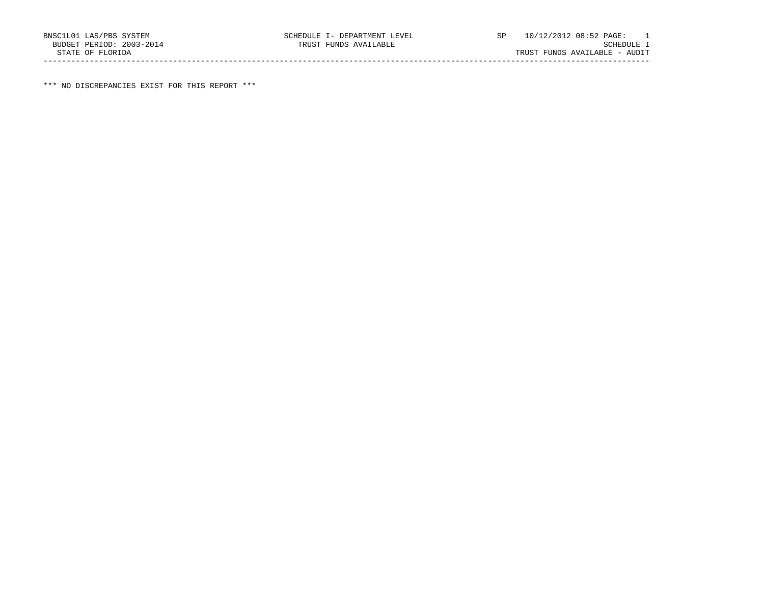\*\*\* NO DISCREPANCIES EXIST FOR THIS REPORT \*\*\*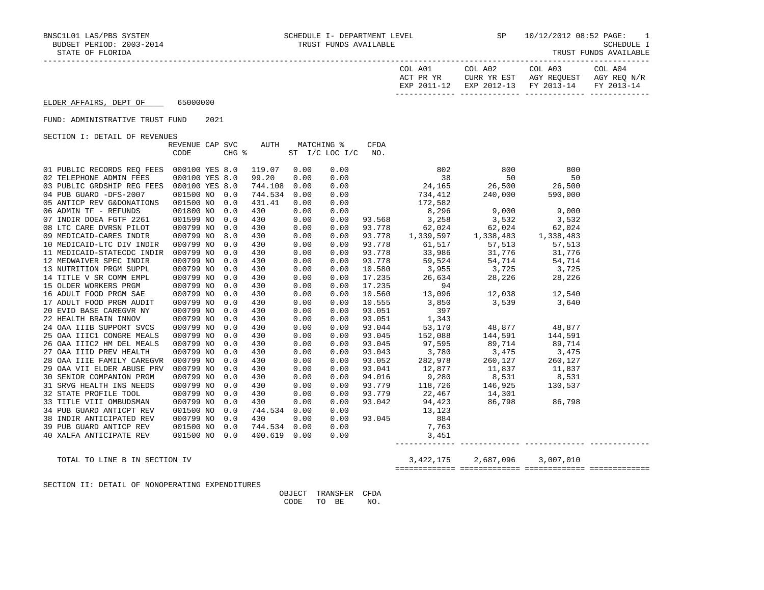| COL A01<br>ACT PR YR | COL A02 | COL A03<br>CURR YR EST AGY REOUEST AGY REO N/R | COL A04 |
|----------------------|---------|------------------------------------------------|---------|
|                      |         | EXP 2011-12 EXP 2012-13 FY 2013-14 FY 2013-14  |         |
|                      |         |                                                |         |

## ELDER AFFAIRS, DEPT OF 65000000

### FUND: ADMINISTRATIVE TRUST FUND 2021

SECTION I: DETAIL OF REVENUES

|                                           | REVENUE CAP SVC |       | AUTH    |      | MATCHING %     | <b>CFDA</b> |                                                                                                                                                                                           |               |         |  |
|-------------------------------------------|-----------------|-------|---------|------|----------------|-------------|-------------------------------------------------------------------------------------------------------------------------------------------------------------------------------------------|---------------|---------|--|
|                                           | CODE            | CHG % |         |      | ST I/C LOC I/C | NO.         |                                                                                                                                                                                           |               |         |  |
|                                           |                 |       |         |      |                |             |                                                                                                                                                                                           |               |         |  |
| 01 PUBLIC RECORDS REO FEES                | 000100 YES 8.0  |       | 119.07  | 0.00 | 0.00           |             | 802                                                                                                                                                                                       | 800           | 800     |  |
| 02 TELEPHONE ADMIN FEES                   | 000100 YES 8.0  |       | 99.20   | 0.00 | 0.00           |             | $\sim$ 38                                                                                                                                                                                 | 50            | 50      |  |
| 03 PUBLIC GRDSHIP REG FEES 000100 YES 8.0 |                 |       | 744.108 | 0.00 | 0.00           |             | 24, 165 26, 500                                                                                                                                                                           |               | 26,500  |  |
| 04 PUB GUARD -DFS-2007                    | 001500 NO 0.0   |       | 744.534 | 0.00 | 0.00           |             | 734,412                                                                                                                                                                                   | 240,000       | 590,000 |  |
| 05 ANTICP REV G&DONATIONS                 | 001500 NO       | 0.0   | 431.41  | 0.00 | 0.00           |             | 172,582                                                                                                                                                                                   |               |         |  |
| 06 ADMIN TF - REFUNDS                     | 001800 NO       | 0.0   | 430     | 0.00 | 0.00           |             | 8,296                                                                                                                                                                                     | 9,000         | 9,000   |  |
| 07 INDIR DOEA FGTF 2261                   | 001599 NO       | 0.0   | 430     | 0.00 | 0.00           |             | 93.568 3,258 3,532                                                                                                                                                                        |               | 3,532   |  |
| 08 LTC CARE DVRSN PILOT                   | 000799 NO       | 0.0   | 430     | 0.00 | 0.00           | 93.778      | $\begin{array}{cccc} 93.778 & \phantom{00}62.024 & \phantom{00}62.024 & \phantom{00}62.024 \\ 93.778 & \phantom{00}1.339.597 & \phantom{00}1.338.483 & \phantom{00}1.338.483 \end{array}$ |               |         |  |
| 09 MEDICAID-CARES INDIR                   | 000799 NO       | 8.0   | 430     | 0.00 | 0.00           |             |                                                                                                                                                                                           |               |         |  |
| 10 MEDICAID-LTC DIV INDIR                 | 000799 NO       | 0.0   | 430     | 0.00 | 0.00           | 93.778      | 61,517                                                                                                                                                                                    | 57, 513       | 57,513  |  |
| 11 MEDICAID-STATECDC INDIR                | 000799 NO       | 0.0   | 430     | 0.00 | 0.00           |             |                                                                                                                                                                                           |               |         |  |
| 12 MEDWAIVER SPEC INDIR                   | 000799 NO       | 0.0   | 430     | 0.00 | 0.00           |             |                                                                                                                                                                                           |               |         |  |
| 13 NUTRITION PRGM SUPPL                   | 000799 NO       | 0.0   | 430     | 0.00 | 0.00           |             |                                                                                                                                                                                           |               |         |  |
| 14 TITLE V SR COMM EMPL                   | 000799 NO       | 0.0   | 430     | 0.00 | 0.00           |             |                                                                                                                                                                                           |               |         |  |
| 15 OLDER WORKERS PRGM                     | 000799 NO       | 0.0   | 430     | 0.00 | 0.00           |             |                                                                                                                                                                                           |               |         |  |
| 16 ADULT FOOD PRGM SAE                    | 000799 NO       | 0.0   | 430     | 0.00 | 0.00           | 10.560      | 13,096                                                                                                                                                                                    | 12,038 12,540 |         |  |
| 17 ADULT FOOD PRGM AUDIT                  | 000799 NO       | 0.0   | 430     | 0.00 | 0.00           | 10.555      | 3,850                                                                                                                                                                                     | 3,539         | 3,640   |  |
| 20 EVID BASE CAREGVR NY                   | 000799 NO       | 0.0   | 430     | 0.00 | 0.00           | 93.051      | 397                                                                                                                                                                                       |               |         |  |
| 22 HEALTH BRAIN INNOV                     | 000799 NO       | 0.0   | 430     | 0.00 | 0.00           | 93.051      | 1,343                                                                                                                                                                                     |               |         |  |
| 24 OAA IIIB SUPPORT SVCS                  | 000799 NO       | 0.0   | 430     | 0.00 | 0.00           | 93.044      | 53,170                                                                                                                                                                                    | 48,877 48,877 |         |  |
| 25 OAA IIIC1 CONGRE MEALS                 | 000799 NO       | 0.0   | 430     | 0.00 | 0.00           | 93.045      | 152,088                                                                                                                                                                                   | 144,591       | 144,591 |  |
| 26 OAA IIIC2 HM DEL MEALS                 | 000799 NO       | 0.0   | 430     | 0.00 | 0.00           | 93.045      | 97,595                                                                                                                                                                                    | 89,714        | 89,714  |  |
| 27 OAA IIID PREV HEALTH                   | 000799 NO       | 0.0   | 430     | 0.00 | 0.00           | 93.043      | 3,780 3,475 3,475<br>282,978 260,127 260,127                                                                                                                                              |               |         |  |
| 28 OAA IIIE FAMILY CAREGVR                | 000799 NO       | 0.0   | 430     | 0.00 | 0.00           | 93.052      |                                                                                                                                                                                           |               |         |  |
| 29 OAA VII ELDER ABUSE PRV                | 000799 NO       | 0.0   | 430     | 0.00 | 0.00           | 93.041      | 12,877                                                                                                                                                                                    | 11,837        | 11,837  |  |
| 30 SENIOR COMPANION PRGM                  | 000799 NO       | 0.0   | 430     | 0.00 | 0.00           | 94.016      | 9,280                                                                                                                                                                                     | 8,531         | 8,531   |  |
| 31 SRVG HEALTH INS NEEDS                  | 000799 NO       | 0.0   | 430     | 0.00 | 0.00           | 93.779      | 118,726                                                                                                                                                                                   | 146,925       | 130,537 |  |
| 32 STATE PROFILE TOOL                     | 000799 NO       | 0.0   | 430     | 0.00 | 0.00           | 93.779      | 22,467                                                                                                                                                                                    | 14,301        |         |  |
| 33 TITLE VIII OMBUDSMAN                   | 000799 NO       | 0.0   | 430     | 0.00 | 0.00           | 93.042      | 94,423                                                                                                                                                                                    | 86,798        | 86,798  |  |
| 34 PUB GUARD ANTICPT REV                  | 001500 NO       | 0.0   | 744.534 | 0.00 | 0.00           |             | 13,123                                                                                                                                                                                    |               |         |  |
| 38 INDIR ANTICIPATED REV                  | 000799 NO       | 0.0   | 430     | 0.00 | 0.00           | 93.045      | 884                                                                                                                                                                                       |               |         |  |
| 39 PUB GUARD ANTICP REV                   | 001500 NO       | 0.0   | 744.534 | 0.00 | 0.00           |             | 7,763                                                                                                                                                                                     |               |         |  |
| 40 XALFA ANTICIPATE REV                   | 001500 NO       | 0.0   | 400.619 | 0.00 | 0.00           |             | 3,451                                                                                                                                                                                     |               |         |  |
|                                           |                 |       |         |      |                |             |                                                                                                                                                                                           |               |         |  |

# TOTAL TO LINE B IN SECTION IV 3,422,175 2,687,096 3,007,010

### ============= ============= ============= =============

SECTION II: DETAIL OF NONOPERATING EXPENDITURES

 OBJECT TRANSFER CFDA CODE TO BE NO.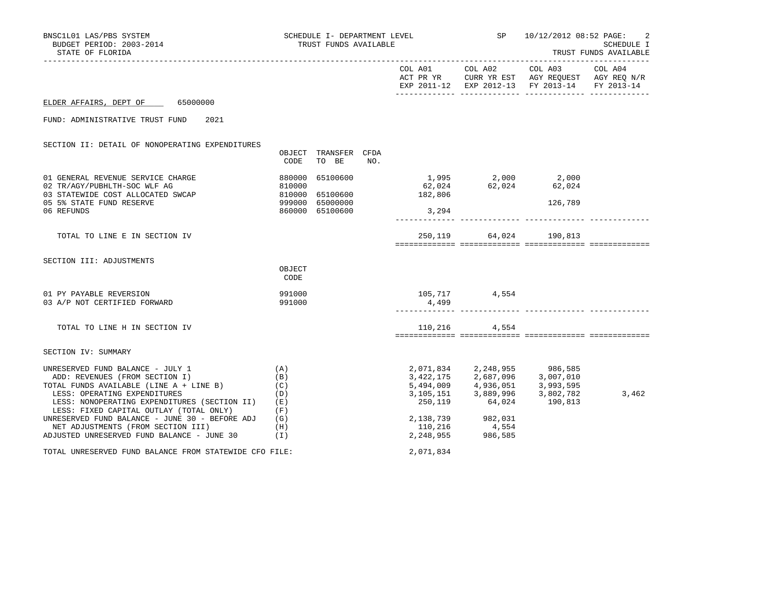| BNSC1L01 LAS/PBS SYSTEM<br>BUDGET PERIOD: 2003-2014<br>STATE OF FLORIDA                                                                                                                                                                                                                                                          | SCHEDULE I- DEPARTMENT LEVEL<br>TRUST FUNDS AVAILABLE |                                                     |     | SP 10/12/2012 08:52 PAGE: 2<br>SCHEDULE I<br>TRUST FUNDS AVAILABLE<br>--------------------- |                                                                                                                 |                                                                                                                   |       |
|----------------------------------------------------------------------------------------------------------------------------------------------------------------------------------------------------------------------------------------------------------------------------------------------------------------------------------|-------------------------------------------------------|-----------------------------------------------------|-----|---------------------------------------------------------------------------------------------|-----------------------------------------------------------------------------------------------------------------|-------------------------------------------------------------------------------------------------------------------|-------|
|                                                                                                                                                                                                                                                                                                                                  |                                                       |                                                     |     | COL A01 COL A02                                                                             |                                                                                                                 | COL A03 COL A04<br>ACT PR YR CURR YR EST AGY REQUEST AGY REQ N/R<br>EXP 2011-12 EXP 2012-13 FY 2013-14 FY 2013-14 |       |
| ELDER AFFAIRS, DEPT OF 65000000                                                                                                                                                                                                                                                                                                  |                                                       |                                                     |     |                                                                                             |                                                                                                                 |                                                                                                                   |       |
| FUND: ADMINISTRATIVE TRUST FUND<br>2021                                                                                                                                                                                                                                                                                          |                                                       |                                                     |     |                                                                                             |                                                                                                                 |                                                                                                                   |       |
| SECTION II: DETAIL OF NONOPERATING EXPENDITURES                                                                                                                                                                                                                                                                                  | CODE                                                  | OBJECT TRANSFER CFDA<br>TO BE                       | NO. |                                                                                             |                                                                                                                 |                                                                                                                   |       |
| 01 GENERAL REVENUE SERVICE CHARGE<br>02 TR/AGY/PUBHLTH-SOC WLF AG<br>03 STATEWIDE COST ALLOCATED SWCAP<br>05 5% STATE FUND RESERVE<br>06 REFUNDS                                                                                                                                                                                 | $880000$ $810000$ $810000$ $999000$ $960000$          | 65100600<br>65100600<br>65000000<br>860000 65100600 |     | 182,806<br>3,294                                                                            | $1,995$ $2,000$ $2,000$<br>$62,024$ $62,024$ $62,024$                                                           | 126,789                                                                                                           |       |
| TOTAL TO LINE E IN SECTION IV                                                                                                                                                                                                                                                                                                    |                                                       |                                                     |     |                                                                                             | 250,119 64,024 190,813                                                                                          |                                                                                                                   |       |
| SECTION III: ADJUSTMENTS                                                                                                                                                                                                                                                                                                         | OBJECT<br>CODE                                        |                                                     |     |                                                                                             |                                                                                                                 |                                                                                                                   |       |
| 01 PY PAYABLE REVERSION<br>03 A/P NOT CERTIFIED FORWARD                                                                                                                                                                                                                                                                          | 991000<br>991000                                      |                                                     |     | 105,717 4,554<br>4,499                                                                      |                                                                                                                 |                                                                                                                   |       |
| TOTAL TO LINE H IN SECTION IV                                                                                                                                                                                                                                                                                                    |                                                       |                                                     |     |                                                                                             | 110,216 4,554                                                                                                   |                                                                                                                   |       |
| SECTION IV: SUMMARY                                                                                                                                                                                                                                                                                                              |                                                       |                                                     |     |                                                                                             |                                                                                                                 |                                                                                                                   |       |
| UNRESERVED FUND BALANCE - JULY 1<br>ADD: REVENUES (FROM SECTION I)<br>TOTAL FUNDS AVAILABLE (LINE A + LINE B)<br>LESS: OPERATING EXPENDITURES<br>LESS: NONOPERATING EXPENDITURES (SECTION II)<br>LESS: FIXED CAPITAL OUTLAY (TOTAL ONLY)<br>UNRESERVED FUND BALANCE - JUNE 30 - BEFORE ADJ<br>NET ADJUSTMENTS (FROM SECTION III) | (A)<br>(B)<br>(C)<br>(D)<br>(E)<br>(F)<br>(G)<br>(H)  |                                                     |     |                                                                                             | $2,071,834$ $2,248,955$ 986,585<br>250,119 64,024 190,813<br>2, 138, 739<br>110, 216<br>2, 248, 955<br>986, 585 | 3,422,175 2,687,096 3,007,010<br>5,494,009 4,936,051 3,993,595<br>$3,105,151$ $3,889,996$ $3,802,782$             | 3,462 |
| ADJUSTED UNRESERVED FUND BALANCE - JUNE 30 (I)<br>TOTAL UNRESERVED FUND BALANCE FROM STATEWIDE CFO FILE:                                                                                                                                                                                                                         |                                                       |                                                     |     | 2,071,834                                                                                   |                                                                                                                 |                                                                                                                   |       |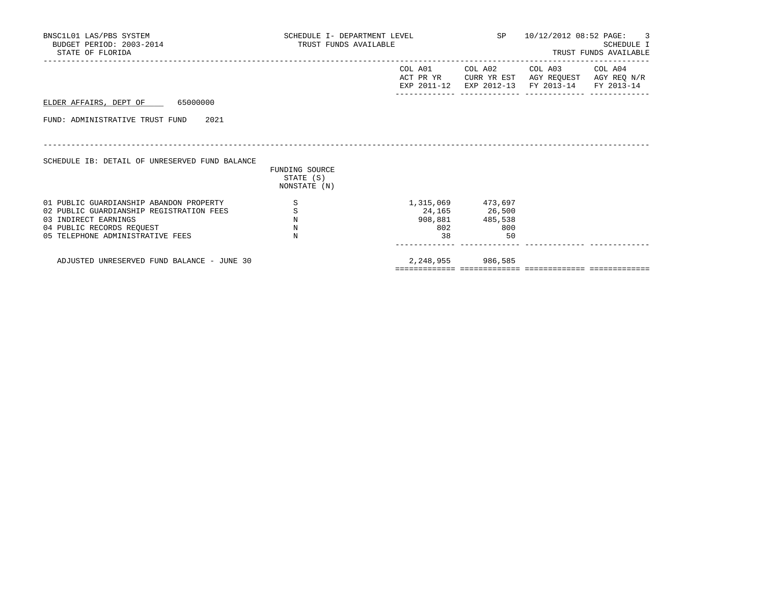| BNSC1L01 LAS/PBS SYSTEM<br>BUDGET PERIOD: 2003-2014<br>STATE OF FLORIDA                                                                                                      | SCHEDULE I- DEPARTMENT LEVEL<br>TRUST FUNDS AVAILABLE |           |                                                                    | SP 10/12/2012 08:52 PAGE: 3                                                                                                       | <b>SCHEDULE I</b><br>TRUST FUNDS AVAILABLE |
|------------------------------------------------------------------------------------------------------------------------------------------------------------------------------|-------------------------------------------------------|-----------|--------------------------------------------------------------------|-----------------------------------------------------------------------------------------------------------------------------------|--------------------------------------------|
|                                                                                                                                                                              |                                                       |           |                                                                    | COL A01 COL A02 COL A03 COL A04<br>ACT PR YR CURR YR EST AGY REQUEST AGY REQ N/R<br>EXP 2011-12 EXP 2012-13 FY 2013-14 FY 2013-14 |                                            |
| ELDER AFFAIRS, DEPT OF 65000000                                                                                                                                              |                                                       |           |                                                                    |                                                                                                                                   |                                            |
| FUND: ADMINISTRATIVE TRUST FUND 2021                                                                                                                                         |                                                       |           |                                                                    |                                                                                                                                   |                                            |
| SCHEDULE IB: DETAIL OF UNRESERVED FUND BALANCE                                                                                                                               | FUNDING SOURCE<br>STATE (S)<br>NONSTATE (N)           |           |                                                                    |                                                                                                                                   |                                            |
| 01 PUBLIC GUARDIANSHIP ABANDON PROPERTY<br>02 PUBLIC GUARDIANSHIP REGISTRATION FEES<br>03 INDIRECT EARNINGS<br>04 PUBLIC RECORDS REQUEST<br>05 TELEPHONE ADMINISTRATIVE FEES | S<br>$\, \mathbb{S} \,$<br>$\rm N$<br>N<br>N          | 802<br>38 | 1,315,069 473,697<br>24,165 26,500<br>908,881 485,538<br>800<br>50 |                                                                                                                                   |                                            |
| ADJUSTED UNRESERVED FUND BALANCE - JUNE 30                                                                                                                                   |                                                       |           | 2,248,955 986,585                                                  |                                                                                                                                   |                                            |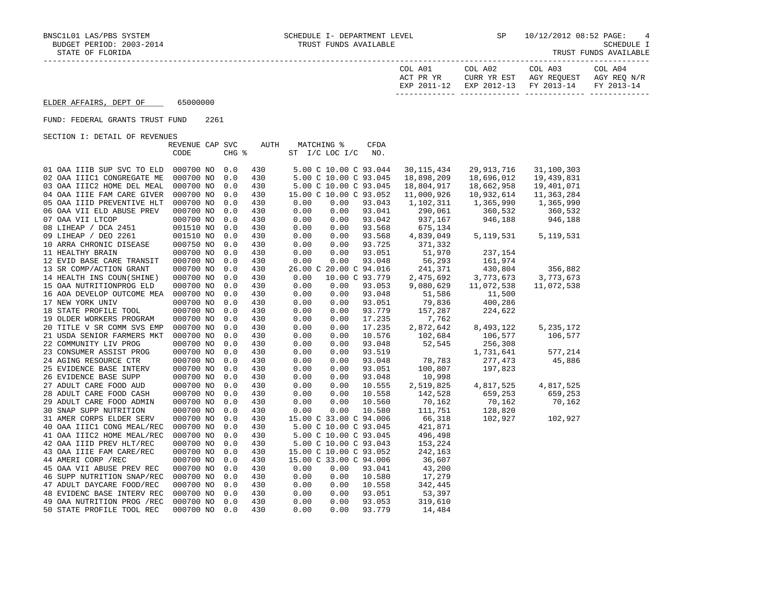| COL A01<br>ACT PR YR | COL A02<br>CURR YR EST            | COL A03<br>AGY REOUEST | COL A04<br>AGY REO N/R |
|----------------------|-----------------------------------|------------------------|------------------------|
| EXP 2011-12          | EXP 2012-13 FY 2013-14 FY 2013-14 |                        |                        |

# ELDER AFFAIRS, DEPT OF 65000000

### FUND: FEDERAL GRANTS TRUST FUND 2261

SECTION I: DETAIL OF REVENUES

| CHG %<br>CODE<br>ST $I/C$ LOC $I/C$<br>NO.<br>000700 NO<br>430<br>30, 115, 434<br>29, 913, 716<br>31,100,303<br>01 OAA IIIB SUP SVC TO ELD<br>0.0<br>5.00 C 10.00 C 93.044<br>430<br>18,898,209<br>18,696,012<br>19,439,831<br>02 OAA IIIC1 CONGREGATE ME<br>000700 NO<br>0.0<br>5.00 C 10.00 C 93.045<br>03 OAA IIIC2 HOME DEL MEAL<br>000700 NO<br>0.0<br>430<br>5.00 C 10.00 C 93.045<br>18,804,917<br>18,662,958<br>19,401,071<br>10,932,614<br>04 OAA IIIE FAM CARE GIVER<br>000700 NO<br>0.0<br>430<br>15.00 C 10.00 C 93.052<br>11,000,926<br>11,363,284<br>1,365,990<br>05 OAA IIID PREVENTIVE HLT<br>000700 NO<br>0.0<br>430<br>0.00<br>0.00<br>93.043<br>1,102,311<br>1,365,990<br>0.00<br>0.00<br>93.041<br>290,061<br>360,532<br>360,532<br>06 OAA VII ELD ABUSE PREV<br>000700 NO<br>0.0<br>430<br>0.00<br>93.042<br>937,167<br>946,188<br>07 OAA VII LTCOP<br>000700 NO<br>0.0<br>430<br>0.00<br>946,188<br>08 LIHEAP / DCA 2451<br>001510 NO<br>0.0<br>430<br>0.00<br>0.00<br>93.568<br>675,134<br>09 LIHEAP / DEO 2261<br>001510 NO<br>0.0<br>430<br>0.00<br>0.00<br>93.568<br>4,839,049<br>5, 119, 531<br>5, 119, 531<br>93.725<br>10 ARRA CHRONIC DISEASE<br>000750 NO<br>430<br>0.00<br>0.00<br>371,332<br>0.0<br>51,970<br>000700 NO<br>93.051<br>11 HEALTHY BRAIN<br>0.0<br>430<br>0.00<br>0.00<br>237,154<br>56,293<br>000700 NO<br>0.0<br>430<br>0.00<br>0.00<br>93.048<br>161,974<br>12 EVID BASE CARE TRANSIT<br>13 SR COMP/ACTION GRANT<br>000700 NO<br>26.00 C 20.00 C 94.016<br>241,371<br>430,804<br>356,882<br>0.0<br>430<br>3,773,673<br>14 HEALTH INS COUN(SHINE)<br>000700 NO<br>0.0<br>430<br>0.00<br>10.00 C 93.779<br>2,475,692<br>3,773,673<br>0.00<br>9,080,629<br>15 OAA NUTRITIONPROG ELD<br>000700 NO<br>0.0<br>430<br>0.00<br>93.053<br>11,072,538<br>11,072,538<br>93.048<br>51,586<br>16 AOA DEVELOP OUTCOME MEA<br>000700 NO<br>0.0<br>430<br>0.00<br>0.00<br>11,500<br>400,286<br>000700 NO<br>0.0<br>0.00<br>0.00<br>93.051<br>79,836<br>17 NEW YORK UNIV<br>430<br>224,622<br>18 STATE PROFILE TOOL<br>000700 NO<br>0.0<br>430<br>0.00<br>0.00<br>93.779<br>157,287<br>19 OLDER WORKERS PROGRAM<br>000700 NO<br>430<br>0.00<br>0.00<br>17.235<br>7,762<br>0.0<br>000700 NO<br>17.235<br>2,872,642<br>8,493,122<br>5, 235, 172<br>20 TITLE V SR COMM SVS EMP<br>0.0<br>430<br>0.00<br>0.00<br>21 USDA SENIOR FARMERS MKT<br>000700 NO<br>0.0<br>430<br>0.00<br>0.00<br>10.576<br>102,684<br>106,577<br>106,577<br>000700 NO<br>93.048<br>52,545<br>256,308<br>22 COMMUNITY LIV PROG<br>0.0<br>430<br>0.00<br>0.00<br>93.519<br>23 CONSUMER ASSIST PROG<br>000700 NO<br>0.0<br>430<br>0.00<br>0.00<br>1,731,641<br>577,214<br>000700 NO<br>430<br>0.00<br>0.00<br>93.048<br>78,783<br>277,473<br>45,886<br>24 AGING RESOURCE CTR<br>0.0<br>000700 NO<br>100,807<br>197,823<br>25 EVIDENCE BASE INTERV<br>0.0<br>430<br>0.00<br>0.00<br>93.051<br>26 EVIDENCE BASE SUPP<br>000700 NO<br>0.00<br>0.00<br>93.048<br>10,998<br>0.0<br>430<br>2,519,825<br>27 ADULT CARE FOOD AUD<br>000700 NO<br>430<br>0.00<br>10.555<br>4,817,525<br>4,817,525<br>0.0<br>0.00<br>000700 NO<br>142,528<br>659,253<br>28 ADULT CARE FOOD CASH<br>0.0<br>430<br>0.00<br>0.00<br>10.558<br>659,253<br>10.560<br>70,162<br>70,162<br>70,162<br>29 ADULT CARE FOOD ADMIN<br>000700 NO<br>0.0<br>430<br>0.00<br>0.00<br>111,751<br>30 SNAP SUPP NUTRITION<br>000700 NO<br>0.0<br>430<br>0.00<br>0.00<br>10.580<br>128,820<br>000700 NO<br>0.0<br>15.00 C 33.00 C 94.006<br>66,318<br>102,927<br>31 AMER CORPS ELDER SERV<br>430<br>102,927<br>421,871<br>40 OAA IIIC1 CONG MEAL/REC<br>000700 NO<br>0.0<br>430<br>5.00 C 10.00 C 93.045<br>496,498<br>41 OAA IIIC2 HOME MEAL/REC<br>000700 NO<br>430<br>5.00 C 10.00 C 93.045<br>0.0<br>000700 NO<br>153,224<br>42 OAA IIID PREV HLT/REC<br>0.0<br>430<br>5.00 C 10.00 C 93.043<br>000700 NO<br>0.0<br>430<br>15.00 C 10.00 C 93.052<br>242,163<br>43 OAA IIIE FAM CARE/REC<br>15.00 C 33.00 C 94.006<br>36,607<br>44 AMERI CORP / REC<br>000700 NO<br>0.0<br>430<br>43,200<br>45 OAA VII ABUSE PREV REC<br>000700 NO<br>0.0<br>430<br>0.00<br>0.00<br>93.041<br>000700 NO<br>0.0<br>0.00<br>0.00<br>17,279<br>46 SUPP NUTRITION SNAP/REC<br>430<br>10.580<br>342,445<br>47 ADULT DAYCARE FOOD/REC<br>000700 NO<br>0.0<br>430<br>0.00<br>0.00<br>10.558<br>53,397<br>48 EVIDENC BASE INTERV REC<br>000700 NO<br>430<br>0.00<br>0.00<br>93.051<br>0.0<br>0.00<br>49 OAA NUTRITION PROG /REC<br>000700 NO<br>0.0<br>430<br>0.00<br>93.053<br>319,610 |                           | REVENUE CAP SVC |     | AUTH | <b>MATCHING %</b> | <b>CFDA</b> |        |  |
|-------------------------------------------------------------------------------------------------------------------------------------------------------------------------------------------------------------------------------------------------------------------------------------------------------------------------------------------------------------------------------------------------------------------------------------------------------------------------------------------------------------------------------------------------------------------------------------------------------------------------------------------------------------------------------------------------------------------------------------------------------------------------------------------------------------------------------------------------------------------------------------------------------------------------------------------------------------------------------------------------------------------------------------------------------------------------------------------------------------------------------------------------------------------------------------------------------------------------------------------------------------------------------------------------------------------------------------------------------------------------------------------------------------------------------------------------------------------------------------------------------------------------------------------------------------------------------------------------------------------------------------------------------------------------------------------------------------------------------------------------------------------------------------------------------------------------------------------------------------------------------------------------------------------------------------------------------------------------------------------------------------------------------------------------------------------------------------------------------------------------------------------------------------------------------------------------------------------------------------------------------------------------------------------------------------------------------------------------------------------------------------------------------------------------------------------------------------------------------------------------------------------------------------------------------------------------------------------------------------------------------------------------------------------------------------------------------------------------------------------------------------------------------------------------------------------------------------------------------------------------------------------------------------------------------------------------------------------------------------------------------------------------------------------------------------------------------------------------------------------------------------------------------------------------------------------------------------------------------------------------------------------------------------------------------------------------------------------------------------------------------------------------------------------------------------------------------------------------------------------------------------------------------------------------------------------------------------------------------------------------------------------------------------------------------------------------------------------------------------------------------------------------------------------------------------------------------------------------------------------------------------------------------------------------------------------------------------------------------------------------------------------------------------------------------------------------------------------------------------------------------------------------------------------------------------------------------------------------------------------------------------------------------------------------------------------------------------------------------------------------------------------------------------------------------------------------------------------------------------------------------------------------|---------------------------|-----------------|-----|------|-------------------|-------------|--------|--|
|                                                                                                                                                                                                                                                                                                                                                                                                                                                                                                                                                                                                                                                                                                                                                                                                                                                                                                                                                                                                                                                                                                                                                                                                                                                                                                                                                                                                                                                                                                                                                                                                                                                                                                                                                                                                                                                                                                                                                                                                                                                                                                                                                                                                                                                                                                                                                                                                                                                                                                                                                                                                                                                                                                                                                                                                                                                                                                                                                                                                                                                                                                                                                                                                                                                                                                                                                                                                                                                                                                                                                                                                                                                                                                                                                                                                                                                                                                                                                                                                                                                                                                                                                                                                                                                                                                                                                                                                                                                                                                                         |                           |                 |     |      |                   |             |        |  |
|                                                                                                                                                                                                                                                                                                                                                                                                                                                                                                                                                                                                                                                                                                                                                                                                                                                                                                                                                                                                                                                                                                                                                                                                                                                                                                                                                                                                                                                                                                                                                                                                                                                                                                                                                                                                                                                                                                                                                                                                                                                                                                                                                                                                                                                                                                                                                                                                                                                                                                                                                                                                                                                                                                                                                                                                                                                                                                                                                                                                                                                                                                                                                                                                                                                                                                                                                                                                                                                                                                                                                                                                                                                                                                                                                                                                                                                                                                                                                                                                                                                                                                                                                                                                                                                                                                                                                                                                                                                                                                                         |                           |                 |     |      |                   |             |        |  |
|                                                                                                                                                                                                                                                                                                                                                                                                                                                                                                                                                                                                                                                                                                                                                                                                                                                                                                                                                                                                                                                                                                                                                                                                                                                                                                                                                                                                                                                                                                                                                                                                                                                                                                                                                                                                                                                                                                                                                                                                                                                                                                                                                                                                                                                                                                                                                                                                                                                                                                                                                                                                                                                                                                                                                                                                                                                                                                                                                                                                                                                                                                                                                                                                                                                                                                                                                                                                                                                                                                                                                                                                                                                                                                                                                                                                                                                                                                                                                                                                                                                                                                                                                                                                                                                                                                                                                                                                                                                                                                                         |                           |                 |     |      |                   |             |        |  |
|                                                                                                                                                                                                                                                                                                                                                                                                                                                                                                                                                                                                                                                                                                                                                                                                                                                                                                                                                                                                                                                                                                                                                                                                                                                                                                                                                                                                                                                                                                                                                                                                                                                                                                                                                                                                                                                                                                                                                                                                                                                                                                                                                                                                                                                                                                                                                                                                                                                                                                                                                                                                                                                                                                                                                                                                                                                                                                                                                                                                                                                                                                                                                                                                                                                                                                                                                                                                                                                                                                                                                                                                                                                                                                                                                                                                                                                                                                                                                                                                                                                                                                                                                                                                                                                                                                                                                                                                                                                                                                                         |                           |                 |     |      |                   |             |        |  |
|                                                                                                                                                                                                                                                                                                                                                                                                                                                                                                                                                                                                                                                                                                                                                                                                                                                                                                                                                                                                                                                                                                                                                                                                                                                                                                                                                                                                                                                                                                                                                                                                                                                                                                                                                                                                                                                                                                                                                                                                                                                                                                                                                                                                                                                                                                                                                                                                                                                                                                                                                                                                                                                                                                                                                                                                                                                                                                                                                                                                                                                                                                                                                                                                                                                                                                                                                                                                                                                                                                                                                                                                                                                                                                                                                                                                                                                                                                                                                                                                                                                                                                                                                                                                                                                                                                                                                                                                                                                                                                                         |                           |                 |     |      |                   |             |        |  |
|                                                                                                                                                                                                                                                                                                                                                                                                                                                                                                                                                                                                                                                                                                                                                                                                                                                                                                                                                                                                                                                                                                                                                                                                                                                                                                                                                                                                                                                                                                                                                                                                                                                                                                                                                                                                                                                                                                                                                                                                                                                                                                                                                                                                                                                                                                                                                                                                                                                                                                                                                                                                                                                                                                                                                                                                                                                                                                                                                                                                                                                                                                                                                                                                                                                                                                                                                                                                                                                                                                                                                                                                                                                                                                                                                                                                                                                                                                                                                                                                                                                                                                                                                                                                                                                                                                                                                                                                                                                                                                                         |                           |                 |     |      |                   |             |        |  |
|                                                                                                                                                                                                                                                                                                                                                                                                                                                                                                                                                                                                                                                                                                                                                                                                                                                                                                                                                                                                                                                                                                                                                                                                                                                                                                                                                                                                                                                                                                                                                                                                                                                                                                                                                                                                                                                                                                                                                                                                                                                                                                                                                                                                                                                                                                                                                                                                                                                                                                                                                                                                                                                                                                                                                                                                                                                                                                                                                                                                                                                                                                                                                                                                                                                                                                                                                                                                                                                                                                                                                                                                                                                                                                                                                                                                                                                                                                                                                                                                                                                                                                                                                                                                                                                                                                                                                                                                                                                                                                                         |                           |                 |     |      |                   |             |        |  |
|                                                                                                                                                                                                                                                                                                                                                                                                                                                                                                                                                                                                                                                                                                                                                                                                                                                                                                                                                                                                                                                                                                                                                                                                                                                                                                                                                                                                                                                                                                                                                                                                                                                                                                                                                                                                                                                                                                                                                                                                                                                                                                                                                                                                                                                                                                                                                                                                                                                                                                                                                                                                                                                                                                                                                                                                                                                                                                                                                                                                                                                                                                                                                                                                                                                                                                                                                                                                                                                                                                                                                                                                                                                                                                                                                                                                                                                                                                                                                                                                                                                                                                                                                                                                                                                                                                                                                                                                                                                                                                                         |                           |                 |     |      |                   |             |        |  |
|                                                                                                                                                                                                                                                                                                                                                                                                                                                                                                                                                                                                                                                                                                                                                                                                                                                                                                                                                                                                                                                                                                                                                                                                                                                                                                                                                                                                                                                                                                                                                                                                                                                                                                                                                                                                                                                                                                                                                                                                                                                                                                                                                                                                                                                                                                                                                                                                                                                                                                                                                                                                                                                                                                                                                                                                                                                                                                                                                                                                                                                                                                                                                                                                                                                                                                                                                                                                                                                                                                                                                                                                                                                                                                                                                                                                                                                                                                                                                                                                                                                                                                                                                                                                                                                                                                                                                                                                                                                                                                                         |                           |                 |     |      |                   |             |        |  |
|                                                                                                                                                                                                                                                                                                                                                                                                                                                                                                                                                                                                                                                                                                                                                                                                                                                                                                                                                                                                                                                                                                                                                                                                                                                                                                                                                                                                                                                                                                                                                                                                                                                                                                                                                                                                                                                                                                                                                                                                                                                                                                                                                                                                                                                                                                                                                                                                                                                                                                                                                                                                                                                                                                                                                                                                                                                                                                                                                                                                                                                                                                                                                                                                                                                                                                                                                                                                                                                                                                                                                                                                                                                                                                                                                                                                                                                                                                                                                                                                                                                                                                                                                                                                                                                                                                                                                                                                                                                                                                                         |                           |                 |     |      |                   |             |        |  |
|                                                                                                                                                                                                                                                                                                                                                                                                                                                                                                                                                                                                                                                                                                                                                                                                                                                                                                                                                                                                                                                                                                                                                                                                                                                                                                                                                                                                                                                                                                                                                                                                                                                                                                                                                                                                                                                                                                                                                                                                                                                                                                                                                                                                                                                                                                                                                                                                                                                                                                                                                                                                                                                                                                                                                                                                                                                                                                                                                                                                                                                                                                                                                                                                                                                                                                                                                                                                                                                                                                                                                                                                                                                                                                                                                                                                                                                                                                                                                                                                                                                                                                                                                                                                                                                                                                                                                                                                                                                                                                                         |                           |                 |     |      |                   |             |        |  |
|                                                                                                                                                                                                                                                                                                                                                                                                                                                                                                                                                                                                                                                                                                                                                                                                                                                                                                                                                                                                                                                                                                                                                                                                                                                                                                                                                                                                                                                                                                                                                                                                                                                                                                                                                                                                                                                                                                                                                                                                                                                                                                                                                                                                                                                                                                                                                                                                                                                                                                                                                                                                                                                                                                                                                                                                                                                                                                                                                                                                                                                                                                                                                                                                                                                                                                                                                                                                                                                                                                                                                                                                                                                                                                                                                                                                                                                                                                                                                                                                                                                                                                                                                                                                                                                                                                                                                                                                                                                                                                                         |                           |                 |     |      |                   |             |        |  |
|                                                                                                                                                                                                                                                                                                                                                                                                                                                                                                                                                                                                                                                                                                                                                                                                                                                                                                                                                                                                                                                                                                                                                                                                                                                                                                                                                                                                                                                                                                                                                                                                                                                                                                                                                                                                                                                                                                                                                                                                                                                                                                                                                                                                                                                                                                                                                                                                                                                                                                                                                                                                                                                                                                                                                                                                                                                                                                                                                                                                                                                                                                                                                                                                                                                                                                                                                                                                                                                                                                                                                                                                                                                                                                                                                                                                                                                                                                                                                                                                                                                                                                                                                                                                                                                                                                                                                                                                                                                                                                                         |                           |                 |     |      |                   |             |        |  |
|                                                                                                                                                                                                                                                                                                                                                                                                                                                                                                                                                                                                                                                                                                                                                                                                                                                                                                                                                                                                                                                                                                                                                                                                                                                                                                                                                                                                                                                                                                                                                                                                                                                                                                                                                                                                                                                                                                                                                                                                                                                                                                                                                                                                                                                                                                                                                                                                                                                                                                                                                                                                                                                                                                                                                                                                                                                                                                                                                                                                                                                                                                                                                                                                                                                                                                                                                                                                                                                                                                                                                                                                                                                                                                                                                                                                                                                                                                                                                                                                                                                                                                                                                                                                                                                                                                                                                                                                                                                                                                                         |                           |                 |     |      |                   |             |        |  |
|                                                                                                                                                                                                                                                                                                                                                                                                                                                                                                                                                                                                                                                                                                                                                                                                                                                                                                                                                                                                                                                                                                                                                                                                                                                                                                                                                                                                                                                                                                                                                                                                                                                                                                                                                                                                                                                                                                                                                                                                                                                                                                                                                                                                                                                                                                                                                                                                                                                                                                                                                                                                                                                                                                                                                                                                                                                                                                                                                                                                                                                                                                                                                                                                                                                                                                                                                                                                                                                                                                                                                                                                                                                                                                                                                                                                                                                                                                                                                                                                                                                                                                                                                                                                                                                                                                                                                                                                                                                                                                                         |                           |                 |     |      |                   |             |        |  |
|                                                                                                                                                                                                                                                                                                                                                                                                                                                                                                                                                                                                                                                                                                                                                                                                                                                                                                                                                                                                                                                                                                                                                                                                                                                                                                                                                                                                                                                                                                                                                                                                                                                                                                                                                                                                                                                                                                                                                                                                                                                                                                                                                                                                                                                                                                                                                                                                                                                                                                                                                                                                                                                                                                                                                                                                                                                                                                                                                                                                                                                                                                                                                                                                                                                                                                                                                                                                                                                                                                                                                                                                                                                                                                                                                                                                                                                                                                                                                                                                                                                                                                                                                                                                                                                                                                                                                                                                                                                                                                                         |                           |                 |     |      |                   |             |        |  |
|                                                                                                                                                                                                                                                                                                                                                                                                                                                                                                                                                                                                                                                                                                                                                                                                                                                                                                                                                                                                                                                                                                                                                                                                                                                                                                                                                                                                                                                                                                                                                                                                                                                                                                                                                                                                                                                                                                                                                                                                                                                                                                                                                                                                                                                                                                                                                                                                                                                                                                                                                                                                                                                                                                                                                                                                                                                                                                                                                                                                                                                                                                                                                                                                                                                                                                                                                                                                                                                                                                                                                                                                                                                                                                                                                                                                                                                                                                                                                                                                                                                                                                                                                                                                                                                                                                                                                                                                                                                                                                                         |                           |                 |     |      |                   |             |        |  |
|                                                                                                                                                                                                                                                                                                                                                                                                                                                                                                                                                                                                                                                                                                                                                                                                                                                                                                                                                                                                                                                                                                                                                                                                                                                                                                                                                                                                                                                                                                                                                                                                                                                                                                                                                                                                                                                                                                                                                                                                                                                                                                                                                                                                                                                                                                                                                                                                                                                                                                                                                                                                                                                                                                                                                                                                                                                                                                                                                                                                                                                                                                                                                                                                                                                                                                                                                                                                                                                                                                                                                                                                                                                                                                                                                                                                                                                                                                                                                                                                                                                                                                                                                                                                                                                                                                                                                                                                                                                                                                                         |                           |                 |     |      |                   |             |        |  |
|                                                                                                                                                                                                                                                                                                                                                                                                                                                                                                                                                                                                                                                                                                                                                                                                                                                                                                                                                                                                                                                                                                                                                                                                                                                                                                                                                                                                                                                                                                                                                                                                                                                                                                                                                                                                                                                                                                                                                                                                                                                                                                                                                                                                                                                                                                                                                                                                                                                                                                                                                                                                                                                                                                                                                                                                                                                                                                                                                                                                                                                                                                                                                                                                                                                                                                                                                                                                                                                                                                                                                                                                                                                                                                                                                                                                                                                                                                                                                                                                                                                                                                                                                                                                                                                                                                                                                                                                                                                                                                                         |                           |                 |     |      |                   |             |        |  |
|                                                                                                                                                                                                                                                                                                                                                                                                                                                                                                                                                                                                                                                                                                                                                                                                                                                                                                                                                                                                                                                                                                                                                                                                                                                                                                                                                                                                                                                                                                                                                                                                                                                                                                                                                                                                                                                                                                                                                                                                                                                                                                                                                                                                                                                                                                                                                                                                                                                                                                                                                                                                                                                                                                                                                                                                                                                                                                                                                                                                                                                                                                                                                                                                                                                                                                                                                                                                                                                                                                                                                                                                                                                                                                                                                                                                                                                                                                                                                                                                                                                                                                                                                                                                                                                                                                                                                                                                                                                                                                                         |                           |                 |     |      |                   |             |        |  |
|                                                                                                                                                                                                                                                                                                                                                                                                                                                                                                                                                                                                                                                                                                                                                                                                                                                                                                                                                                                                                                                                                                                                                                                                                                                                                                                                                                                                                                                                                                                                                                                                                                                                                                                                                                                                                                                                                                                                                                                                                                                                                                                                                                                                                                                                                                                                                                                                                                                                                                                                                                                                                                                                                                                                                                                                                                                                                                                                                                                                                                                                                                                                                                                                                                                                                                                                                                                                                                                                                                                                                                                                                                                                                                                                                                                                                                                                                                                                                                                                                                                                                                                                                                                                                                                                                                                                                                                                                                                                                                                         |                           |                 |     |      |                   |             |        |  |
|                                                                                                                                                                                                                                                                                                                                                                                                                                                                                                                                                                                                                                                                                                                                                                                                                                                                                                                                                                                                                                                                                                                                                                                                                                                                                                                                                                                                                                                                                                                                                                                                                                                                                                                                                                                                                                                                                                                                                                                                                                                                                                                                                                                                                                                                                                                                                                                                                                                                                                                                                                                                                                                                                                                                                                                                                                                                                                                                                                                                                                                                                                                                                                                                                                                                                                                                                                                                                                                                                                                                                                                                                                                                                                                                                                                                                                                                                                                                                                                                                                                                                                                                                                                                                                                                                                                                                                                                                                                                                                                         |                           |                 |     |      |                   |             |        |  |
|                                                                                                                                                                                                                                                                                                                                                                                                                                                                                                                                                                                                                                                                                                                                                                                                                                                                                                                                                                                                                                                                                                                                                                                                                                                                                                                                                                                                                                                                                                                                                                                                                                                                                                                                                                                                                                                                                                                                                                                                                                                                                                                                                                                                                                                                                                                                                                                                                                                                                                                                                                                                                                                                                                                                                                                                                                                                                                                                                                                                                                                                                                                                                                                                                                                                                                                                                                                                                                                                                                                                                                                                                                                                                                                                                                                                                                                                                                                                                                                                                                                                                                                                                                                                                                                                                                                                                                                                                                                                                                                         |                           |                 |     |      |                   |             |        |  |
|                                                                                                                                                                                                                                                                                                                                                                                                                                                                                                                                                                                                                                                                                                                                                                                                                                                                                                                                                                                                                                                                                                                                                                                                                                                                                                                                                                                                                                                                                                                                                                                                                                                                                                                                                                                                                                                                                                                                                                                                                                                                                                                                                                                                                                                                                                                                                                                                                                                                                                                                                                                                                                                                                                                                                                                                                                                                                                                                                                                                                                                                                                                                                                                                                                                                                                                                                                                                                                                                                                                                                                                                                                                                                                                                                                                                                                                                                                                                                                                                                                                                                                                                                                                                                                                                                                                                                                                                                                                                                                                         |                           |                 |     |      |                   |             |        |  |
|                                                                                                                                                                                                                                                                                                                                                                                                                                                                                                                                                                                                                                                                                                                                                                                                                                                                                                                                                                                                                                                                                                                                                                                                                                                                                                                                                                                                                                                                                                                                                                                                                                                                                                                                                                                                                                                                                                                                                                                                                                                                                                                                                                                                                                                                                                                                                                                                                                                                                                                                                                                                                                                                                                                                                                                                                                                                                                                                                                                                                                                                                                                                                                                                                                                                                                                                                                                                                                                                                                                                                                                                                                                                                                                                                                                                                                                                                                                                                                                                                                                                                                                                                                                                                                                                                                                                                                                                                                                                                                                         |                           |                 |     |      |                   |             |        |  |
|                                                                                                                                                                                                                                                                                                                                                                                                                                                                                                                                                                                                                                                                                                                                                                                                                                                                                                                                                                                                                                                                                                                                                                                                                                                                                                                                                                                                                                                                                                                                                                                                                                                                                                                                                                                                                                                                                                                                                                                                                                                                                                                                                                                                                                                                                                                                                                                                                                                                                                                                                                                                                                                                                                                                                                                                                                                                                                                                                                                                                                                                                                                                                                                                                                                                                                                                                                                                                                                                                                                                                                                                                                                                                                                                                                                                                                                                                                                                                                                                                                                                                                                                                                                                                                                                                                                                                                                                                                                                                                                         |                           |                 |     |      |                   |             |        |  |
|                                                                                                                                                                                                                                                                                                                                                                                                                                                                                                                                                                                                                                                                                                                                                                                                                                                                                                                                                                                                                                                                                                                                                                                                                                                                                                                                                                                                                                                                                                                                                                                                                                                                                                                                                                                                                                                                                                                                                                                                                                                                                                                                                                                                                                                                                                                                                                                                                                                                                                                                                                                                                                                                                                                                                                                                                                                                                                                                                                                                                                                                                                                                                                                                                                                                                                                                                                                                                                                                                                                                                                                                                                                                                                                                                                                                                                                                                                                                                                                                                                                                                                                                                                                                                                                                                                                                                                                                                                                                                                                         |                           |                 |     |      |                   |             |        |  |
|                                                                                                                                                                                                                                                                                                                                                                                                                                                                                                                                                                                                                                                                                                                                                                                                                                                                                                                                                                                                                                                                                                                                                                                                                                                                                                                                                                                                                                                                                                                                                                                                                                                                                                                                                                                                                                                                                                                                                                                                                                                                                                                                                                                                                                                                                                                                                                                                                                                                                                                                                                                                                                                                                                                                                                                                                                                                                                                                                                                                                                                                                                                                                                                                                                                                                                                                                                                                                                                                                                                                                                                                                                                                                                                                                                                                                                                                                                                                                                                                                                                                                                                                                                                                                                                                                                                                                                                                                                                                                                                         |                           |                 |     |      |                   |             |        |  |
|                                                                                                                                                                                                                                                                                                                                                                                                                                                                                                                                                                                                                                                                                                                                                                                                                                                                                                                                                                                                                                                                                                                                                                                                                                                                                                                                                                                                                                                                                                                                                                                                                                                                                                                                                                                                                                                                                                                                                                                                                                                                                                                                                                                                                                                                                                                                                                                                                                                                                                                                                                                                                                                                                                                                                                                                                                                                                                                                                                                                                                                                                                                                                                                                                                                                                                                                                                                                                                                                                                                                                                                                                                                                                                                                                                                                                                                                                                                                                                                                                                                                                                                                                                                                                                                                                                                                                                                                                                                                                                                         |                           |                 |     |      |                   |             |        |  |
|                                                                                                                                                                                                                                                                                                                                                                                                                                                                                                                                                                                                                                                                                                                                                                                                                                                                                                                                                                                                                                                                                                                                                                                                                                                                                                                                                                                                                                                                                                                                                                                                                                                                                                                                                                                                                                                                                                                                                                                                                                                                                                                                                                                                                                                                                                                                                                                                                                                                                                                                                                                                                                                                                                                                                                                                                                                                                                                                                                                                                                                                                                                                                                                                                                                                                                                                                                                                                                                                                                                                                                                                                                                                                                                                                                                                                                                                                                                                                                                                                                                                                                                                                                                                                                                                                                                                                                                                                                                                                                                         |                           |                 |     |      |                   |             |        |  |
|                                                                                                                                                                                                                                                                                                                                                                                                                                                                                                                                                                                                                                                                                                                                                                                                                                                                                                                                                                                                                                                                                                                                                                                                                                                                                                                                                                                                                                                                                                                                                                                                                                                                                                                                                                                                                                                                                                                                                                                                                                                                                                                                                                                                                                                                                                                                                                                                                                                                                                                                                                                                                                                                                                                                                                                                                                                                                                                                                                                                                                                                                                                                                                                                                                                                                                                                                                                                                                                                                                                                                                                                                                                                                                                                                                                                                                                                                                                                                                                                                                                                                                                                                                                                                                                                                                                                                                                                                                                                                                                         |                           |                 |     |      |                   |             |        |  |
|                                                                                                                                                                                                                                                                                                                                                                                                                                                                                                                                                                                                                                                                                                                                                                                                                                                                                                                                                                                                                                                                                                                                                                                                                                                                                                                                                                                                                                                                                                                                                                                                                                                                                                                                                                                                                                                                                                                                                                                                                                                                                                                                                                                                                                                                                                                                                                                                                                                                                                                                                                                                                                                                                                                                                                                                                                                                                                                                                                                                                                                                                                                                                                                                                                                                                                                                                                                                                                                                                                                                                                                                                                                                                                                                                                                                                                                                                                                                                                                                                                                                                                                                                                                                                                                                                                                                                                                                                                                                                                                         |                           |                 |     |      |                   |             |        |  |
|                                                                                                                                                                                                                                                                                                                                                                                                                                                                                                                                                                                                                                                                                                                                                                                                                                                                                                                                                                                                                                                                                                                                                                                                                                                                                                                                                                                                                                                                                                                                                                                                                                                                                                                                                                                                                                                                                                                                                                                                                                                                                                                                                                                                                                                                                                                                                                                                                                                                                                                                                                                                                                                                                                                                                                                                                                                                                                                                                                                                                                                                                                                                                                                                                                                                                                                                                                                                                                                                                                                                                                                                                                                                                                                                                                                                                                                                                                                                                                                                                                                                                                                                                                                                                                                                                                                                                                                                                                                                                                                         |                           |                 |     |      |                   |             |        |  |
|                                                                                                                                                                                                                                                                                                                                                                                                                                                                                                                                                                                                                                                                                                                                                                                                                                                                                                                                                                                                                                                                                                                                                                                                                                                                                                                                                                                                                                                                                                                                                                                                                                                                                                                                                                                                                                                                                                                                                                                                                                                                                                                                                                                                                                                                                                                                                                                                                                                                                                                                                                                                                                                                                                                                                                                                                                                                                                                                                                                                                                                                                                                                                                                                                                                                                                                                                                                                                                                                                                                                                                                                                                                                                                                                                                                                                                                                                                                                                                                                                                                                                                                                                                                                                                                                                                                                                                                                                                                                                                                         |                           |                 |     |      |                   |             |        |  |
|                                                                                                                                                                                                                                                                                                                                                                                                                                                                                                                                                                                                                                                                                                                                                                                                                                                                                                                                                                                                                                                                                                                                                                                                                                                                                                                                                                                                                                                                                                                                                                                                                                                                                                                                                                                                                                                                                                                                                                                                                                                                                                                                                                                                                                                                                                                                                                                                                                                                                                                                                                                                                                                                                                                                                                                                                                                                                                                                                                                                                                                                                                                                                                                                                                                                                                                                                                                                                                                                                                                                                                                                                                                                                                                                                                                                                                                                                                                                                                                                                                                                                                                                                                                                                                                                                                                                                                                                                                                                                                                         |                           |                 |     |      |                   |             |        |  |
|                                                                                                                                                                                                                                                                                                                                                                                                                                                                                                                                                                                                                                                                                                                                                                                                                                                                                                                                                                                                                                                                                                                                                                                                                                                                                                                                                                                                                                                                                                                                                                                                                                                                                                                                                                                                                                                                                                                                                                                                                                                                                                                                                                                                                                                                                                                                                                                                                                                                                                                                                                                                                                                                                                                                                                                                                                                                                                                                                                                                                                                                                                                                                                                                                                                                                                                                                                                                                                                                                                                                                                                                                                                                                                                                                                                                                                                                                                                                                                                                                                                                                                                                                                                                                                                                                                                                                                                                                                                                                                                         |                           |                 |     |      |                   |             |        |  |
|                                                                                                                                                                                                                                                                                                                                                                                                                                                                                                                                                                                                                                                                                                                                                                                                                                                                                                                                                                                                                                                                                                                                                                                                                                                                                                                                                                                                                                                                                                                                                                                                                                                                                                                                                                                                                                                                                                                                                                                                                                                                                                                                                                                                                                                                                                                                                                                                                                                                                                                                                                                                                                                                                                                                                                                                                                                                                                                                                                                                                                                                                                                                                                                                                                                                                                                                                                                                                                                                                                                                                                                                                                                                                                                                                                                                                                                                                                                                                                                                                                                                                                                                                                                                                                                                                                                                                                                                                                                                                                                         |                           |                 |     |      |                   |             |        |  |
|                                                                                                                                                                                                                                                                                                                                                                                                                                                                                                                                                                                                                                                                                                                                                                                                                                                                                                                                                                                                                                                                                                                                                                                                                                                                                                                                                                                                                                                                                                                                                                                                                                                                                                                                                                                                                                                                                                                                                                                                                                                                                                                                                                                                                                                                                                                                                                                                                                                                                                                                                                                                                                                                                                                                                                                                                                                                                                                                                                                                                                                                                                                                                                                                                                                                                                                                                                                                                                                                                                                                                                                                                                                                                                                                                                                                                                                                                                                                                                                                                                                                                                                                                                                                                                                                                                                                                                                                                                                                                                                         |                           |                 |     |      |                   |             |        |  |
|                                                                                                                                                                                                                                                                                                                                                                                                                                                                                                                                                                                                                                                                                                                                                                                                                                                                                                                                                                                                                                                                                                                                                                                                                                                                                                                                                                                                                                                                                                                                                                                                                                                                                                                                                                                                                                                                                                                                                                                                                                                                                                                                                                                                                                                                                                                                                                                                                                                                                                                                                                                                                                                                                                                                                                                                                                                                                                                                                                                                                                                                                                                                                                                                                                                                                                                                                                                                                                                                                                                                                                                                                                                                                                                                                                                                                                                                                                                                                                                                                                                                                                                                                                                                                                                                                                                                                                                                                                                                                                                         |                           |                 |     |      |                   |             |        |  |
|                                                                                                                                                                                                                                                                                                                                                                                                                                                                                                                                                                                                                                                                                                                                                                                                                                                                                                                                                                                                                                                                                                                                                                                                                                                                                                                                                                                                                                                                                                                                                                                                                                                                                                                                                                                                                                                                                                                                                                                                                                                                                                                                                                                                                                                                                                                                                                                                                                                                                                                                                                                                                                                                                                                                                                                                                                                                                                                                                                                                                                                                                                                                                                                                                                                                                                                                                                                                                                                                                                                                                                                                                                                                                                                                                                                                                                                                                                                                                                                                                                                                                                                                                                                                                                                                                                                                                                                                                                                                                                                         |                           |                 |     |      |                   |             |        |  |
|                                                                                                                                                                                                                                                                                                                                                                                                                                                                                                                                                                                                                                                                                                                                                                                                                                                                                                                                                                                                                                                                                                                                                                                                                                                                                                                                                                                                                                                                                                                                                                                                                                                                                                                                                                                                                                                                                                                                                                                                                                                                                                                                                                                                                                                                                                                                                                                                                                                                                                                                                                                                                                                                                                                                                                                                                                                                                                                                                                                                                                                                                                                                                                                                                                                                                                                                                                                                                                                                                                                                                                                                                                                                                                                                                                                                                                                                                                                                                                                                                                                                                                                                                                                                                                                                                                                                                                                                                                                                                                                         |                           |                 |     |      |                   |             |        |  |
|                                                                                                                                                                                                                                                                                                                                                                                                                                                                                                                                                                                                                                                                                                                                                                                                                                                                                                                                                                                                                                                                                                                                                                                                                                                                                                                                                                                                                                                                                                                                                                                                                                                                                                                                                                                                                                                                                                                                                                                                                                                                                                                                                                                                                                                                                                                                                                                                                                                                                                                                                                                                                                                                                                                                                                                                                                                                                                                                                                                                                                                                                                                                                                                                                                                                                                                                                                                                                                                                                                                                                                                                                                                                                                                                                                                                                                                                                                                                                                                                                                                                                                                                                                                                                                                                                                                                                                                                                                                                                                                         |                           |                 |     |      |                   |             |        |  |
|                                                                                                                                                                                                                                                                                                                                                                                                                                                                                                                                                                                                                                                                                                                                                                                                                                                                                                                                                                                                                                                                                                                                                                                                                                                                                                                                                                                                                                                                                                                                                                                                                                                                                                                                                                                                                                                                                                                                                                                                                                                                                                                                                                                                                                                                                                                                                                                                                                                                                                                                                                                                                                                                                                                                                                                                                                                                                                                                                                                                                                                                                                                                                                                                                                                                                                                                                                                                                                                                                                                                                                                                                                                                                                                                                                                                                                                                                                                                                                                                                                                                                                                                                                                                                                                                                                                                                                                                                                                                                                                         |                           |                 |     |      |                   |             |        |  |
| 000700 NO<br>0.00                                                                                                                                                                                                                                                                                                                                                                                                                                                                                                                                                                                                                                                                                                                                                                                                                                                                                                                                                                                                                                                                                                                                                                                                                                                                                                                                                                                                                                                                                                                                                                                                                                                                                                                                                                                                                                                                                                                                                                                                                                                                                                                                                                                                                                                                                                                                                                                                                                                                                                                                                                                                                                                                                                                                                                                                                                                                                                                                                                                                                                                                                                                                                                                                                                                                                                                                                                                                                                                                                                                                                                                                                                                                                                                                                                                                                                                                                                                                                                                                                                                                                                                                                                                                                                                                                                                                                                                                                                                                                                       | 50 STATE PROFILE TOOL REC |                 | 0.0 | 430  | 0.00              | 93.779      | 14,484 |  |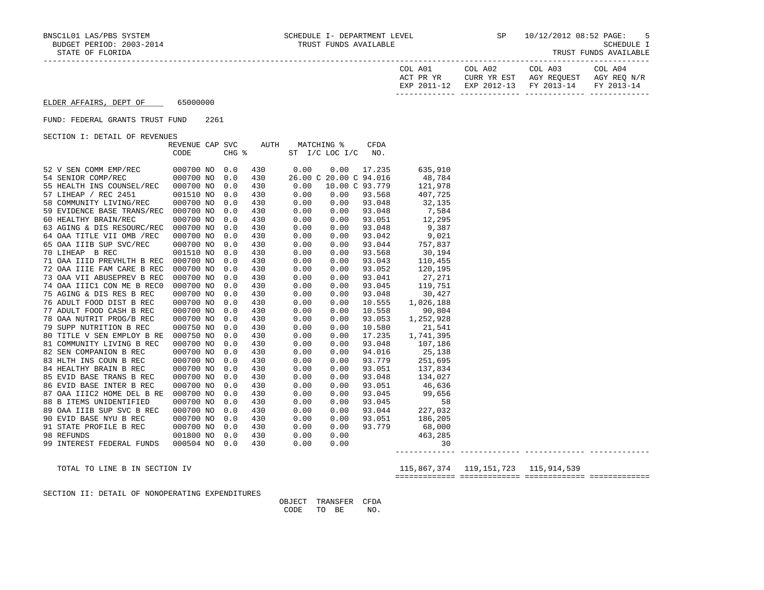| IRUSI FUNDS AVAILABLE |  |
|-----------------------|--|
|-----------------------|--|

| COL A01<br>ACT PR YR | COL A02                                       | COL A03<br>CURR YR EST AGY REOUEST | COL A04<br>AGY REO N/R |
|----------------------|-----------------------------------------------|------------------------------------|------------------------|
|                      | EXP 2011-12 EXP 2012-13 FY 2013-14 FY 2013-14 |                                    |                        |
|                      |                                               |                                    |                        |

## ELDER AFFAIRS, DEPT OF 65000000

### FUND: FEDERAL GRANTS TRUST FUND 2261

SECTION I: DETAIL OF REVENUES

|    |                            | REVENUE CAP SVC |       | AUTH |      | MATCHING %             | CFDA   |           |
|----|----------------------------|-----------------|-------|------|------|------------------------|--------|-----------|
|    |                            | CODE            | CHG % |      | ST   | $I/C$ LOC $I/C$        | NO.    |           |
|    |                            |                 |       |      |      |                        |        |           |
|    | 52 V SEN COMM EMP/REC      | 000700 NO       | 0.0   | 430  | 0.00 | 0.00                   | 17.235 | 635,910   |
|    | 54 SENIOR COMP/REC         | 000700 NO       | 0.0   | 430  |      | 26.00 C 20.00 C 94.016 |        | 48,784    |
|    | 55 HEALTH INS COUNSEL/REC  | 000700 NO       | 0.0   | 430  | 0.00 | 10.00 C 93.779         |        | 121,978   |
|    | 57 LIHEAP / REC 2451       | 001510 NO       | 0.0   | 430  | 0.00 | 0.00                   | 93.568 | 407,725   |
|    | 58 COMMUNITY LIVING/REC    | 000700 NO       | 0.0   | 430  | 0.00 | 0.00                   | 93.048 | 32,135    |
|    | 59 EVIDENCE BASE TRANS/REC | 000700 NO       | 0.0   | 430  | 0.00 | 0.00                   | 93.048 | 7,584     |
|    | 60 HEALTHY BRAIN/REC       | 000700 NO       | 0.0   | 430  | 0.00 | 0.00                   | 93.051 | 12,295    |
|    | 63 AGING & DIS RESOURC/REC | 000700 NO       | 0.0   | 430  | 0.00 | 0.00                   | 93.048 | 9,387     |
|    | 64 OAA TITLE VII OMB /REC  | 000700 NO       | 0.0   | 430  | 0.00 | 0.00                   | 93.042 | 9,021     |
|    | 65 OAA IIIB SUP SVC/REC    | 000700 NO       | 0.0   | 430  | 0.00 | 0.00                   | 93.044 | 757,837   |
|    | 70 LIHEAP B REC            | 001510 NO       | 0.0   | 430  | 0.00 | 0.00                   | 93.568 | 30,194    |
|    | 71 OAA IIID PREVHLTH B REC | 000700 NO       | 0.0   | 430  | 0.00 | 0.00                   | 93.043 | 110,455   |
|    | 72 OAA IIIE FAM CARE B REC | 000700 NO       | 0.0   | 430  | 0.00 | 0.00                   | 93.052 | 120,195   |
|    | 73 OAA VII ABUSEPREV B REC | 000700 NO       | 0.0   | 430  | 0.00 | 0.00                   | 93.041 | 27,271    |
|    | 74 OAA IIIC1 CON ME B RECO | 000700 NO       | 0.0   | 430  | 0.00 | 0.00                   | 93.045 | 119,751   |
|    | 75 AGING & DIS RES B REC   | 000700 NO       | 0.0   | 430  | 0.00 | 0.00                   | 93.048 | 30,427    |
|    | 76 ADULT FOOD DIST B REC   | 000700 NO       | 0.0   | 430  | 0.00 | 0.00                   | 10.555 | 1,026,188 |
|    | 77 ADULT FOOD CASH B REC   | 000700 NO       | 0.0   | 430  | 0.00 | 0.00                   | 10.558 | 90,804    |
|    | 78 OAA NUTRIT PROG/B REC   | 000700 NO       | 0.0   | 430  | 0.00 | 0.00                   | 93.053 | 1,252,928 |
|    | 79 SUPP NUTRITION B REC    | 000750 NO       | 0.0   | 430  | 0.00 | 0.00                   | 10.580 | 21,541    |
|    | 80 TITLE V SEN EMPLOY B RE | 000750 NO       | 0.0   | 430  | 0.00 | 0.00                   | 17.235 | 1,741,395 |
|    | 81 COMMUNITY LIVING B REC  | 000700 NO       | 0.0   | 430  | 0.00 | 0.00                   | 93.048 | 107,186   |
|    | 82 SEN COMPANION B REC     | 000700 NO       | 0.0   | 430  | 0.00 | 0.00                   | 94.016 | 25,138    |
|    | 83 HLTH INS COUN B REC     | 000700 NO       | 0.0   | 430  | 0.00 | 0.00                   | 93.779 | 251,695   |
|    | 84 HEALTHY BRAIN B REC     | 000700 NO       | 0.0   | 430  | 0.00 | 0.00                   | 93.051 | 137,834   |
|    | 85 EVID BASE TRANS B REC   | 000700 NO       | 0.0   | 430  | 0.00 | 0.00                   | 93.048 | 134,027   |
|    | 86 EVID BASE INTER B REC   | 000700 NO       | 0.0   | 430  | 0.00 | 0.00                   | 93.051 | 46,636    |
|    | 87 OAA IIIC2 HOME DEL B RE | 000700 NO       | 0.0   | 430  | 0.00 | 0.00                   | 93.045 | 99,656    |
|    | 88 B ITEMS UNIDENTIFIED    | 000700 NO       | 0.0   | 430  | 0.00 | 0.00                   | 93.045 | 58        |
|    | 89 OAA IIIB SUP SVC B REC  | 000700 NO       | 0.0   | 430  | 0.00 | 0.00                   | 93.044 | 227,032   |
|    | 90 EVID BASE NYU B REC     | 000700 NO       | 0.0   | 430  | 0.00 | 0.00                   | 93.051 | 186,205   |
|    | 91 STATE PROFILE B REC     | 000700 NO       | 0.0   | 430  | 0.00 | 0.00                   | 93.779 | 68,000    |
|    | 98 REFUNDS                 | 001800 NO       | 0.0   | 430  | 0.00 | 0.00                   |        | 463,285   |
| 99 | INTEREST FEDERAL FUNDS     | 000504 NO       | 0.0   | 430  | 0.00 | 0.00                   |        | 30        |

 ------------- ------------- ------------- ------------- TOTAL TO LINE B IN SECTION IV 115,867,374 119,151,723 115,914,539

============= ============= ============= =============

SECTION II: DETAIL OF NONOPERATING EXPENDITURES

 OBJECT TRANSFER CFDA CODE TO BE NO.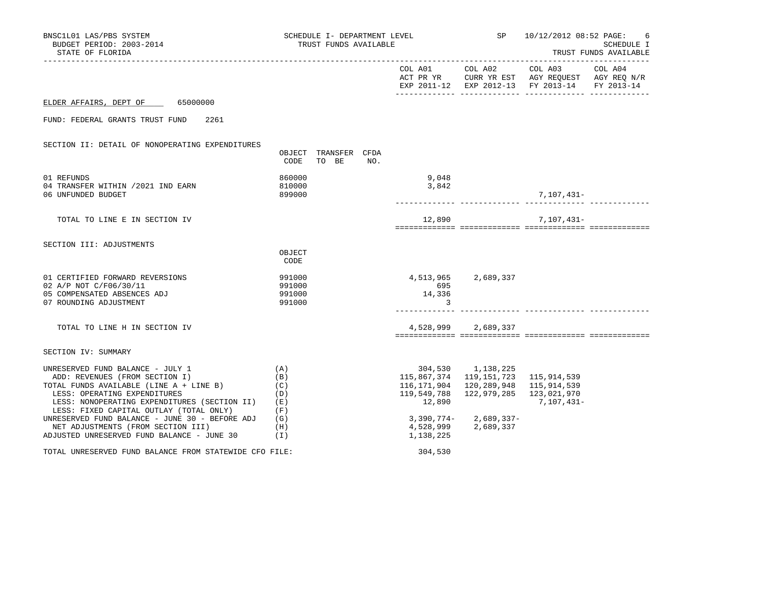| BNSC1L01 LAS/PBS SYSTEM<br>BUDGET PERIOD: 2003-2014<br>STATE OF FLORIDA                                                                                                                                                                  |                                        | SCHEDULE I- DEPARTMENT LEVEL<br>TRUST FUNDS AVAILABLE |     |                                                     |                                                                | SP 10/12/2012 08:52 PAGE:                               | 6<br>SCHEDULE I<br>TRUST FUNDS AVAILABLE |
|------------------------------------------------------------------------------------------------------------------------------------------------------------------------------------------------------------------------------------------|----------------------------------------|-------------------------------------------------------|-----|-----------------------------------------------------|----------------------------------------------------------------|---------------------------------------------------------|------------------------------------------|
|                                                                                                                                                                                                                                          |                                        |                                                       |     |                                                     |                                                                |                                                         |                                          |
| ELDER AFFAIRS, DEPT OF 65000000                                                                                                                                                                                                          |                                        |                                                       |     |                                                     |                                                                |                                                         |                                          |
| FUND: FEDERAL GRANTS TRUST FUND<br>2261                                                                                                                                                                                                  |                                        |                                                       |     |                                                     |                                                                |                                                         |                                          |
| SECTION II: DETAIL OF NONOPERATING EXPENDITURES                                                                                                                                                                                          | CODE                                   | OBJECT TRANSFER CFDA<br>TO BE                         | NO. |                                                     |                                                                |                                                         |                                          |
| 01 REFUNDS<br>04 TRANSFER WITHIN /2021 IND EARN<br>06 UNFUNDED BUDGET                                                                                                                                                                    | 860000<br>810000<br>899000             |                                                       |     | 9,048<br>3,842                                      |                                                                | 7,107,431–                                              |                                          |
| TOTAL TO LINE E IN SECTION IV                                                                                                                                                                                                            |                                        |                                                       |     | 12,890                                              |                                                                | 7,107,431-                                              |                                          |
| SECTION III: ADJUSTMENTS                                                                                                                                                                                                                 | OBJECT<br>CODE                         |                                                       |     |                                                     |                                                                |                                                         |                                          |
| 01 CERTIFIED FORWARD REVERSIONS<br>02 A/P NOT C/F06/30/11<br>05 COMPENSATED ABSENCES ADJ<br>07 ROUNDING ADJUSTMENT                                                                                                                       | 991000<br>991000<br>991000<br>991000   |                                                       |     | 695<br>14,336<br>3                                  | 4,513,965 2,689,337                                            |                                                         |                                          |
| TOTAL TO LINE H IN SECTION IV                                                                                                                                                                                                            |                                        |                                                       |     |                                                     | 4,528,999 2,689,337                                            |                                                         |                                          |
| SECTION IV: SUMMARY                                                                                                                                                                                                                      |                                        |                                                       |     |                                                     |                                                                |                                                         |                                          |
| UNRESERVED FUND BALANCE - JULY 1<br>ADD: REVENUES (FROM SECTION I)<br>TOTAL FUNDS AVAILABLE (LINE A + LINE B)<br>LESS: OPERATING EXPENDITURES<br>LESS: NONOPERATING EXPENDITURES (SECTION II)<br>LESS: FIXED CAPITAL OUTLAY (TOTAL ONLY) | (A)<br>(B)<br>(C)<br>(D)<br>(E)<br>(F) |                                                       |     | 115,867,374<br>116,171,904<br>119,549,788<br>12,890 | 304,530 1,138,225<br>119,151,723<br>120,289,948<br>122,979,285 | 115,914,539<br>115,914,539<br>123,021,970<br>7,107,431- |                                          |
| UNRESERVED FUND BALANCE - JUNE 30 - BEFORE ADJ<br>NET ADJUSTMENTS (FROM SECTION III)<br>ADJUSTED UNRESERVED FUND BALANCE - JUNE 30<br>(1)                                                                                                | (G)<br>(H)                             |                                                       |     | 1,138,225                                           | $3,390,774 - 2,689,337 -$<br>4,528,999 2,689,337               |                                                         |                                          |
| TOTAL UNRESERVED FUND BALANCE FROM STATEWIDE CFO FILE:                                                                                                                                                                                   |                                        |                                                       |     | 304,530                                             |                                                                |                                                         |                                          |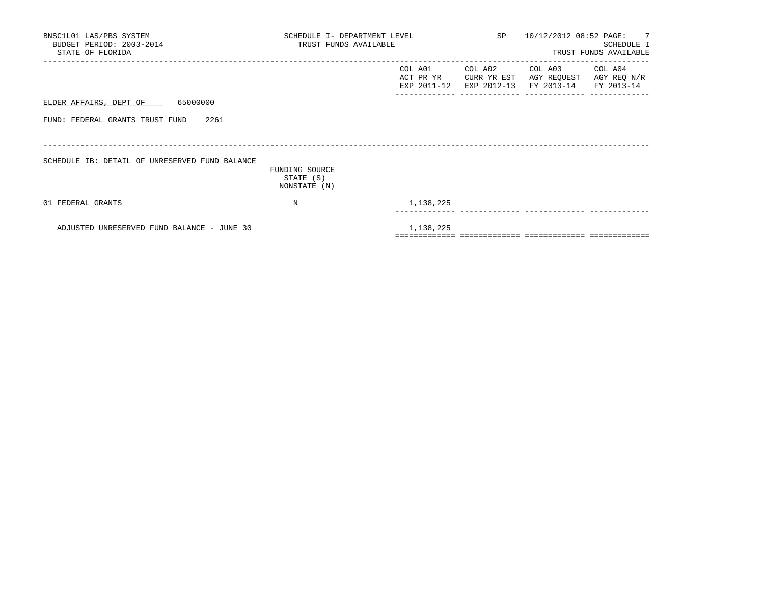| BNSC1L01 LAS/PBS SYSTEM<br>BUDGET PERIOD: 2003-2014<br>STATE OF FLORIDA | SCHEDULE I- DEPARTMENT LEVEL<br>TRUST FUNDS AVAILABLE |                                     |                        | SP 10/12/2012 08:52 PAGE: 7                                                     | SCHEDULE I<br>TRUST FUNDS AVAILABLE |
|-------------------------------------------------------------------------|-------------------------------------------------------|-------------------------------------|------------------------|---------------------------------------------------------------------------------|-------------------------------------|
|                                                                         |                                                       | COL A01<br>ACT PR YR<br>EXP 2011-12 | COL A02<br>CURR YR EST | COL A03 COL A04<br>AGY REQUEST AGY REQ N/R<br>EXP 2012-13 FY 2013-14 FY 2013-14 |                                     |
| ELDER AFFAIRS, DEPT OF 65000000                                         |                                                       |                                     |                        |                                                                                 |                                     |
| FUND: FEDERAL GRANTS TRUST FUND<br>2261                                 |                                                       |                                     |                        |                                                                                 |                                     |
|                                                                         |                                                       |                                     |                        |                                                                                 |                                     |
| SCHEDULE IB: DETAIL OF UNRESERVED FUND BALANCE                          | FUNDING SOURCE<br>STATE (S)<br>NONSTATE (N)           |                                     |                        |                                                                                 |                                     |
| 01 FEDERAL GRANTS                                                       | N                                                     | 1,138,225                           |                        |                                                                                 |                                     |
| ADJUSTED UNRESERVED FUND BALANCE - JUNE 30                              |                                                       | 1,138,225                           |                        |                                                                                 |                                     |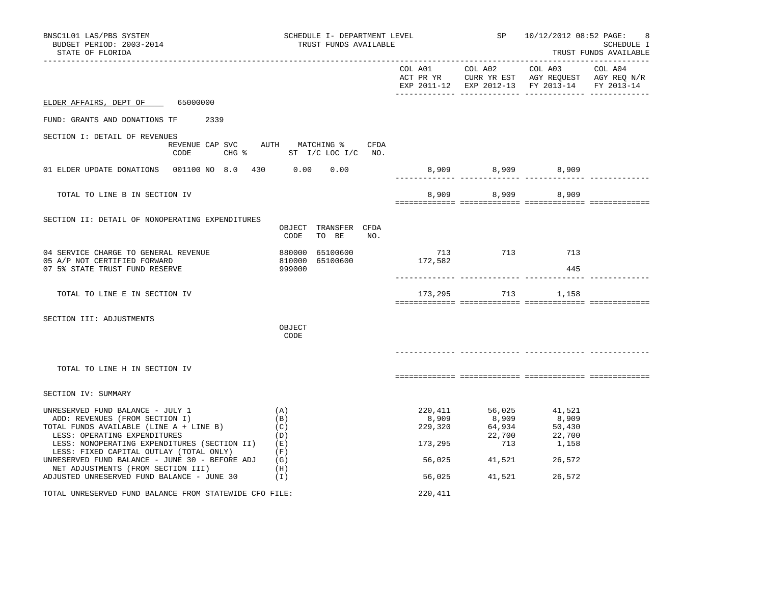| BNSC1L01 LAS/PBS SYSTEM<br>BUDGET PERIOD: 2003-2014<br>STATE OF FLORIDA                                                                       | SCHEDULE I- DEPARTMENT LEVEL<br>TRUST FUNDS AVAILABLE            |                             | SP                                  | 10/12/2012 08:52 PAGE:                                                                                            | 8<br>SCHEDULE I<br>TRUST FUNDS AVAILABLE |
|-----------------------------------------------------------------------------------------------------------------------------------------------|------------------------------------------------------------------|-----------------------------|-------------------------------------|-------------------------------------------------------------------------------------------------------------------|------------------------------------------|
|                                                                                                                                               |                                                                  |                             | COL A01 COL A02                     | COL A03 COL A04<br>ACT PR YR CURR YR EST AGY REQUEST AGY REQ N/R<br>EXP 2011-12 EXP 2012-13 FY 2013-14 FY 2013-14 |                                          |
| ELDER AFFAIRS, DEPT OF 65000000                                                                                                               |                                                                  |                             |                                     |                                                                                                                   |                                          |
| FUND: GRANTS AND DONATIONS TF<br>2339                                                                                                         |                                                                  |                             |                                     |                                                                                                                   |                                          |
| SECTION I: DETAIL OF REVENUES<br>CODE                                                                                                         | REVENUE CAP SVC AUTH MATCHING % CFDA<br>CHG % ST I/C LOC I/C NO. |                             |                                     |                                                                                                                   |                                          |
| 01 ELDER UPDATE DONATIONS  001100 NO 8.0  430  0.00  0.00                                                                                     |                                                                  |                             |                                     | 8,909 8,909 8,909                                                                                                 |                                          |
| TOTAL TO LINE B IN SECTION IV                                                                                                                 |                                                                  |                             |                                     | 8,909 8,909 8,909                                                                                                 |                                          |
| SECTION II: DETAIL OF NONOPERATING EXPENDITURES                                                                                               | OBJECT TRANSFER CFDA<br>CODE<br>TO BE<br>NO.                     |                             |                                     |                                                                                                                   |                                          |
| 04 SERVICE CHARGE TO GENERAL REVENUE<br>05 A/P NOT CERTIFIED FORWARD<br>07 5% STATE TRUST FUND RESERVE                                        | 880000 65100600<br>810000 65100600<br>999000                     | 713<br>713<br>172,582       |                                     | 713 713<br>445                                                                                                    |                                          |
| TOTAL TO LINE E IN SECTION IV                                                                                                                 |                                                                  |                             |                                     | 173, 295 713 1, 158                                                                                               |                                          |
| SECTION III: ADJUSTMENTS                                                                                                                      | OBJECT<br>CODE                                                   |                             |                                     |                                                                                                                   |                                          |
| TOTAL TO LINE H IN SECTION IV                                                                                                                 |                                                                  |                             |                                     |                                                                                                                   |                                          |
| SECTION IV: SUMMARY                                                                                                                           |                                                                  |                             |                                     |                                                                                                                   |                                          |
| UNRESERVED FUND BALANCE - JULY 1<br>ADD: REVENUES (FROM SECTION I)<br>TOTAL FUNDS AVAILABLE (LINE A + LINE B)<br>LESS: OPERATING EXPENDITURES | (A)<br>(B)<br>(C)<br>(D)                                         | 220,411<br>8,909<br>229,320 | 56,025<br>8,909<br>64,934<br>22,700 | 41,521<br>8,909<br>50,430<br>22,700                                                                               |                                          |
| LESS: NONOPERATING EXPENDITURES (SECTION II)<br>LESS: FIXED CAPITAL OUTLAY (TOTAL ONLY)                                                       | (E)<br>(F)                                                       | 173,295                     | 713                                 | 1,158                                                                                                             |                                          |
| UNRESERVED FUND BALANCE - JUNE 30 - BEFORE ADJ<br>NET ADJUSTMENTS (FROM SECTION III)<br>ADJUSTED UNRESERVED FUND BALANCE - JUNE 30            | (G)<br>(H)<br>( I )                                              | 56,025<br>56,025            | 41,521<br>41,521                    | 26,572<br>26,572                                                                                                  |                                          |
| TOTAL UNRESERVED FUND BALANCE FROM STATEWIDE CFO FILE:                                                                                        |                                                                  | 220,411                     |                                     |                                                                                                                   |                                          |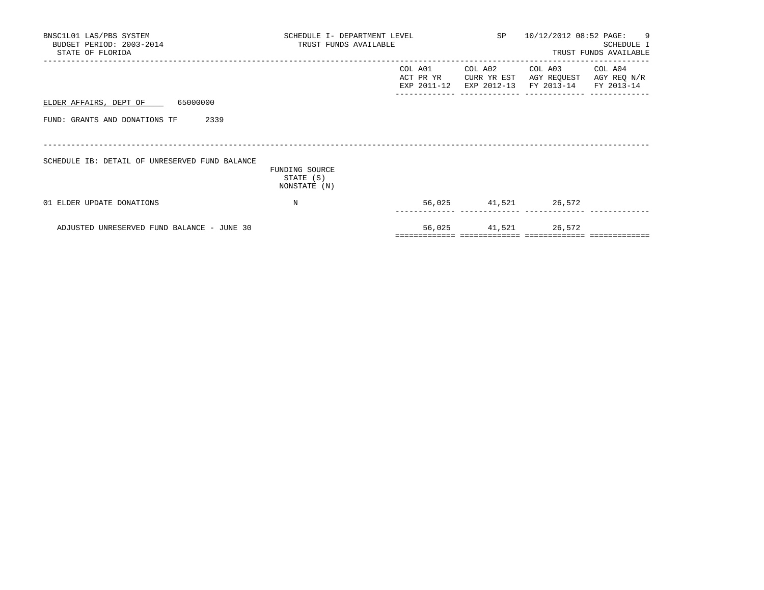| BNSC1L01 LAS/PBS SYSTEM<br>BUDGET PERIOD: 2003-2014<br>STATE OF FLORIDA | SCHEDULE I- DEPARTMENT LEVEL<br>TRUST FUNDS AVAILABLE |                                        |                                       | SP 10/12/2012 08:52 PAGE: 9                             | SCHEDULE I<br>TRUST FUNDS AVAILABLE |
|-------------------------------------------------------------------------|-------------------------------------------------------|----------------------------------------|---------------------------------------|---------------------------------------------------------|-------------------------------------|
|                                                                         |                                                       | COL A01<br>ACT PR YR<br>EXP 2011-12    | COL A02<br>CURR YR EST<br>EXP 2012-13 | COL A03 COL A04<br>AGY REQUEST<br>FY 2013-14 FY 2013-14 | AGY REQ N/R                         |
| ELDER AFFAIRS, DEPT OF 65000000                                         |                                                       |                                        |                                       |                                                         |                                     |
| 2339<br>FUND: GRANTS AND DONATIONS TF                                   |                                                       |                                        |                                       |                                                         |                                     |
| SCHEDULE IB: DETAIL OF UNRESERVED FUND BALANCE                          | FUNDING SOURCE<br>STATE (S)                           |                                        |                                       |                                                         |                                     |
| 01 ELDER UPDATE DONATIONS                                               | NONSTATE (N)<br>N                                     |                                        |                                       | 56,025 41,521 26,572                                    |                                     |
|                                                                         |                                                       |                                        |                                       |                                                         |                                     |
| ADJUSTED UNRESERVED FUND BALANCE - JUNE 30                              |                                                       | ====================================== |                                       | 56,025 41,521 26,572                                    |                                     |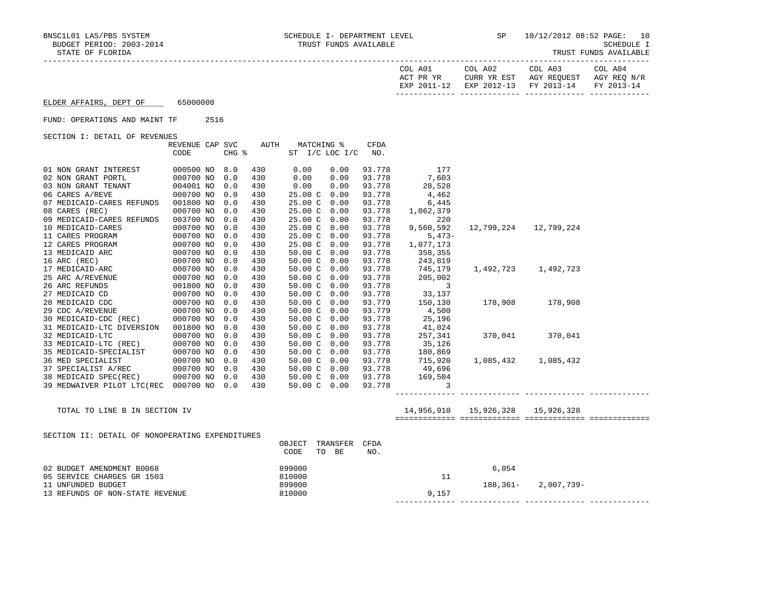------------- ------------- ------------- -------------

SCHEDULE I<br>TRUST FUNDS AVAILABLE

| TRUST FUNDS AVAILABLE |
|-----------------------|
|-----------------------|

| COL A01<br>ACT PR YR | COL A02<br>EXP 2011-12 EXP 2012-13 FY 2013-14 FY 2013-14 | COL A03<br>CURR YR EST AGY REOUEST AGY REO N/R | COL A04 |
|----------------------|----------------------------------------------------------|------------------------------------------------|---------|
|                      |                                                          |                                                |         |

| ELDER AFFAIRS, DEPT OF | 65000000 |
|------------------------|----------|
|                        |          |

### FUND: OPERATIONS AND MAINT TF 2516

SECTION I: DETAIL OF REVENUES

|                                                 | REVENUE CAP SVC |       | AUTH |                                | MATCHING %     | <b>CFDA</b> |            |                         |                     |  |
|-------------------------------------------------|-----------------|-------|------|--------------------------------|----------------|-------------|------------|-------------------------|---------------------|--|
|                                                 | CODE            | CHG % |      |                                | ST I/C LOC I/C | NO.         |            |                         |                     |  |
|                                                 |                 |       |      |                                |                |             |            |                         |                     |  |
| 01 NON GRANT INTEREST                           | 000500 NO       | 8.0   | 430  | 0.00                           | 0.00           | 93.778      | 177        |                         |                     |  |
| 02 NON GRANT PORTL                              | 000700 NO       | 0.0   | 430  | 0.00                           | 0.00           | 93.778      | 7,603      |                         |                     |  |
| 03 NON GRANT TENANT                             | 004001 NO       | 0.0   | 430  | 0.00                           | 0.00           | 93.778      | 28,528     |                         |                     |  |
| 06 CARES A/REVE                                 | 000700 NO       | 0.0   | 430  | 25.00 C                        | 0.00           | 93.778      | 4,462      |                         |                     |  |
| 07 MEDICAID-CARES REFUNDS                       | 001800 NO       | 0.0   | 430  | 25.00 C                        | 0.00           | 93.778      | 6,445      |                         |                     |  |
| 08 CARES (REC)                                  | 000700 NO       | 0.0   | 430  | 25.00C                         | 0.00           | 93.778      | 1,062,379  |                         |                     |  |
| 09 MEDICAID-CARES REFUNDS                       | 003700 NO       | 0.0   | 430  | 25.00 C 0.00                   |                | 93.778      | 220        |                         |                     |  |
| 10 MEDICAID-CARES                               | 000700 NO       | 0.0   | 430  | 25.00 C 0.00                   |                | 93.778      | 9,560,592  | 12,799,224              | 12,799,224          |  |
| 11 CARES PROGRAM                                | 000700 NO       | 0.0   | 430  | 25.00 C 0.00                   |                | 93.778      | $5,473-$   |                         |                     |  |
| 12 CARES PROGRAM                                | 000700 NO       | 0.0   | 430  | 25.00 C 0.00                   |                | 93.778      | 1,077,173  |                         |                     |  |
| 13 MEDICAID ARC                                 | 000700 NO       | 0.0   | 430  | 50.00 C 0.00                   |                | 93.778      | 358,355    |                         |                     |  |
| 16 ARC (REC)                                    | 000700 NO       | 0.0   | 430  | 50.00 C 0.00                   |                | 93.778      | 243,819    |                         |                     |  |
| 17 MEDICAID-ARC                                 | 000700 NO       | 0.0   | 430  | 50.00 C 0.00                   |                | 93.778      | 745,179    |                         | 1,492,723 1,492,723 |  |
| 25 ARC A/REVENUE                                | 000700 NO       | 0.0   | 430  | 50.00 C 0.00                   |                | 93.778      | 205,002    |                         |                     |  |
| 26 ARC REFUNDS                                  | 001800 NO       | 0.0   | 430  | 50.00 C 0.00                   |                | 93.778      | 3          |                         |                     |  |
| 27 MEDICAID CD                                  | 000700 NO       | 0.0   | 430  | 50.00 C 0.00                   |                | 93.778      | 33,137     |                         |                     |  |
| 28 MEDICAID CDC                                 | 000700 NO       | 0.0   | 430  | 50.00 C 0.00                   |                | 93.779      | 150,130    | 178,908                 | 178,908             |  |
| 29 CDC A/REVENUE                                | 000700 NO       | 0.0   | 430  | 50.00 C 0.00                   |                | 93.779      | 4,500      |                         |                     |  |
| 30 MEDICAID-CDC (REC)                           | 000700 NO       | 0.0   | 430  | 50.00 C 0.00                   |                | 93.778      | 25,196     |                         |                     |  |
| 31 MEDICAID-LTC DIVERSION                       | 001800 NO       | 0.0   | 430  | 50.00 C 0.00                   |                | 93.778      | 41,024     |                         |                     |  |
| 32 MEDICAID-LTC                                 | 000700 NO       | 0.0   | 430  | 50.00 C 0.00                   |                | 93.778      | 257,341    |                         | 370,041 370,041     |  |
| 33 MEDICAID-LTC (REC)                           | 000700 NO       | 0.0   | 430  | 50.00 C 0.00                   |                | 93.778      | 35,126     |                         |                     |  |
| 35 MEDICAID-SPECIALIST                          | 000700 NO       | 0.0   | 430  | $50.00 \, \text{C} \quad 0.00$ |                | 93.778      | 180,869    |                         |                     |  |
| 36 MED SPECIALIST                               | 000700 NO       | 0.0   | 430  | $50.00 \, \text{C} \quad 0.00$ |                | 93.778      | 715,920    | 1,085,432               | 1,085,432           |  |
| 37 SPECIALIST A/REC                             | 000700 NO       | 0.0   | 430  | 50.00 C 0.00                   |                | 93.778      | 49,696     |                         |                     |  |
| 38 MEDICAID SPEC(REC)                           | 000700 NO       | 0.0   | 430  | 50.00 C 0.00                   |                | 93.778      | 169,504    |                         |                     |  |
| 39 MEDWAIVER PILOT LTC(REC 000700 NO            |                 | 0.0   | 430  | 50.00 C 0.00                   |                | 93.778      | 3          |                         |                     |  |
|                                                 |                 |       |      |                                |                |             |            |                         |                     |  |
|                                                 |                 |       |      |                                |                |             |            |                         |                     |  |
| TOTAL TO LINE B IN SECTION IV                   |                 |       |      |                                |                |             | 14,956,910 | 15,926,328   15,926,328 |                     |  |
|                                                 |                 |       |      |                                |                |             |            |                         |                     |  |
| SECTION II: DETAIL OF NONOPERATING EXPENDITURES |                 |       |      |                                |                |             |            |                         |                     |  |
|                                                 |                 |       |      | OBJECT                         | TRANSFER       | CFDA        |            |                         |                     |  |
|                                                 |                 |       |      | CODE                           | TO BE          | NO.         |            |                         |                     |  |
|                                                 |                 |       |      |                                |                |             |            |                         |                     |  |
| 02 BUDGET AMENDMENT B0068                       |                 |       |      | 899000                         |                |             |            | 6,054                   |                     |  |
| 05 SERVICE CHARGES GR 1503                      |                 |       |      | 810000                         |                |             | 11         |                         |                     |  |
| 11 UNFUNDED BUDGET                              |                 |       |      | 899000                         |                |             |            | $188, 361 -$            | 2,007,739-          |  |
| 13 REFUNDS OF NON-STATE REVENUE                 |                 |       |      | 810000                         |                |             | 9,157      |                         |                     |  |
|                                                 |                 |       |      |                                |                |             |            |                         |                     |  |